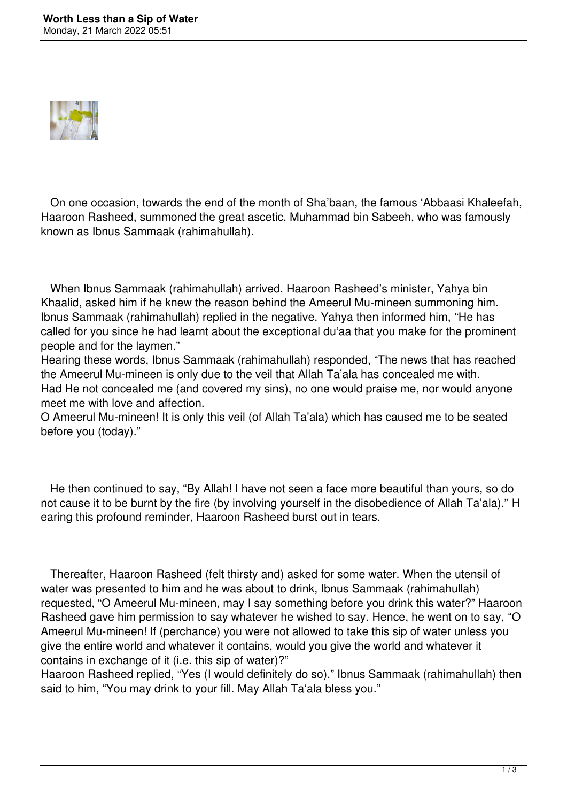

 On one occasion, towards the end of the month of Sha'baan, the famous 'Abbaasi Khaleefah, Haaroon Rasheed, summoned the great ascetic, Muhammad bin Sabeeh, who was famously known as Ibnus Sammaak (rahimahullah).

 When Ibnus Sammaak (rahimahullah) arrived, Haaroon Rasheed's minister, Yahya bin Khaalid, asked him if he knew the reason behind the Ameerul Mu-mineen summoning him. Ibnus Sammaak (rahimahullah) replied in the negative. Yahya then informed him, "He has called for you since he had learnt about the exceptional du'aa that you make for the prominent people and for the laymen."

Hearing these words, Ibnus Sammaak (rahimahullah) responded, "The news that has reached the Ameerul Mu-mineen is only due to the veil that Allah Ta'ala has concealed me with. Had He not concealed me (and covered my sins), no one would praise me, nor would anyone meet me with love and affection.

O Ameerul Mu-mineen! It is only this veil (of Allah Ta'ala) which has caused me to be seated before you (today)."

 He then continued to say, "By Allah! I have not seen a face more beautiful than yours, so do not cause it to be burnt by the fire (by involving yourself in the disobedience of Allah Ta'ala)." H earing this profound reminder, Haaroon Rasheed burst out in tears.

 Thereafter, Haaroon Rasheed (felt thirsty and) asked for some water. When the utensil of water was presented to him and he was about to drink, Ibnus Sammaak (rahimahullah) requested, "O Ameerul Mu-mineen, may I say something before you drink this water?" Haaroon Rasheed gave him permission to say whatever he wished to say. Hence, he went on to say, "O Ameerul Mu-mineen! If (perchance) you were not allowed to take this sip of water unless you give the entire world and whatever it contains, would you give the world and whatever it contains in exchange of it (i.e. this sip of water)?"

Haaroon Rasheed replied, "Yes (I would definitely do so)." Ibnus Sammaak (rahimahullah) then said to him, "You may drink to your fill. May Allah Ta'ala bless you."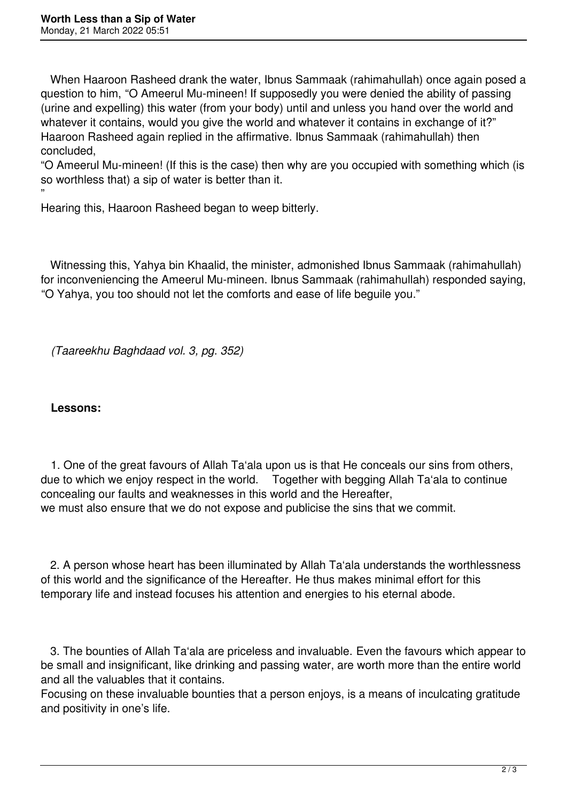When Haaroon Rasheed drank the water, Ibnus Sammaak (rahimahullah) once again posed a question to him, "O Ameerul Mu-mineen! If supposedly you were denied the ability of passing (urine and expelling) this water (from your body) until and unless you hand over the world and whatever it contains, would you give the world and whatever it contains in exchange of it?" Haaroon Rasheed again replied in the affirmative. Ibnus Sammaak (rahimahullah) then concluded,

"O Ameerul Mu-mineen! (If this is the case) then why are you occupied with something which (is so worthless that) a sip of water is better than it.

" Hearing this, Haaroon Rasheed began to weep bitterly.

 Witnessing this, Yahya bin Khaalid, the minister, admonished Ibnus Sammaak (rahimahullah) for inconveniencing the Ameerul Mu-mineen. Ibnus Sammaak (rahimahullah) responded saying, "O Yahya, you too should not let the comforts and ease of life beguile you."

*(Taareekhu Baghdaad vol. 3, pg. 352)*

## **Lessons:**

 1. One of the great favours of Allah Ta'ala upon us is that He conceals our sins from others, due to which we enjoy respect in the world. Together with begging Allah Ta'ala to continue concealing our faults and weaknesses in this world and the Hereafter, we must also ensure that we do not expose and publicise the sins that we commit.

 2. A person whose heart has been illuminated by Allah Ta'ala understands the worthlessness of this world and the significance of the Hereafter. He thus makes minimal effort for this temporary life and instead focuses his attention and energies to his eternal abode.

 3. The bounties of Allah Ta'ala are priceless and invaluable. Even the favours which appear to be small and insignificant, like drinking and passing water, are worth more than the entire world and all the valuables that it contains.

Focusing on these invaluable bounties that a person enjoys, is a means of inculcating gratitude and positivity in one's life.